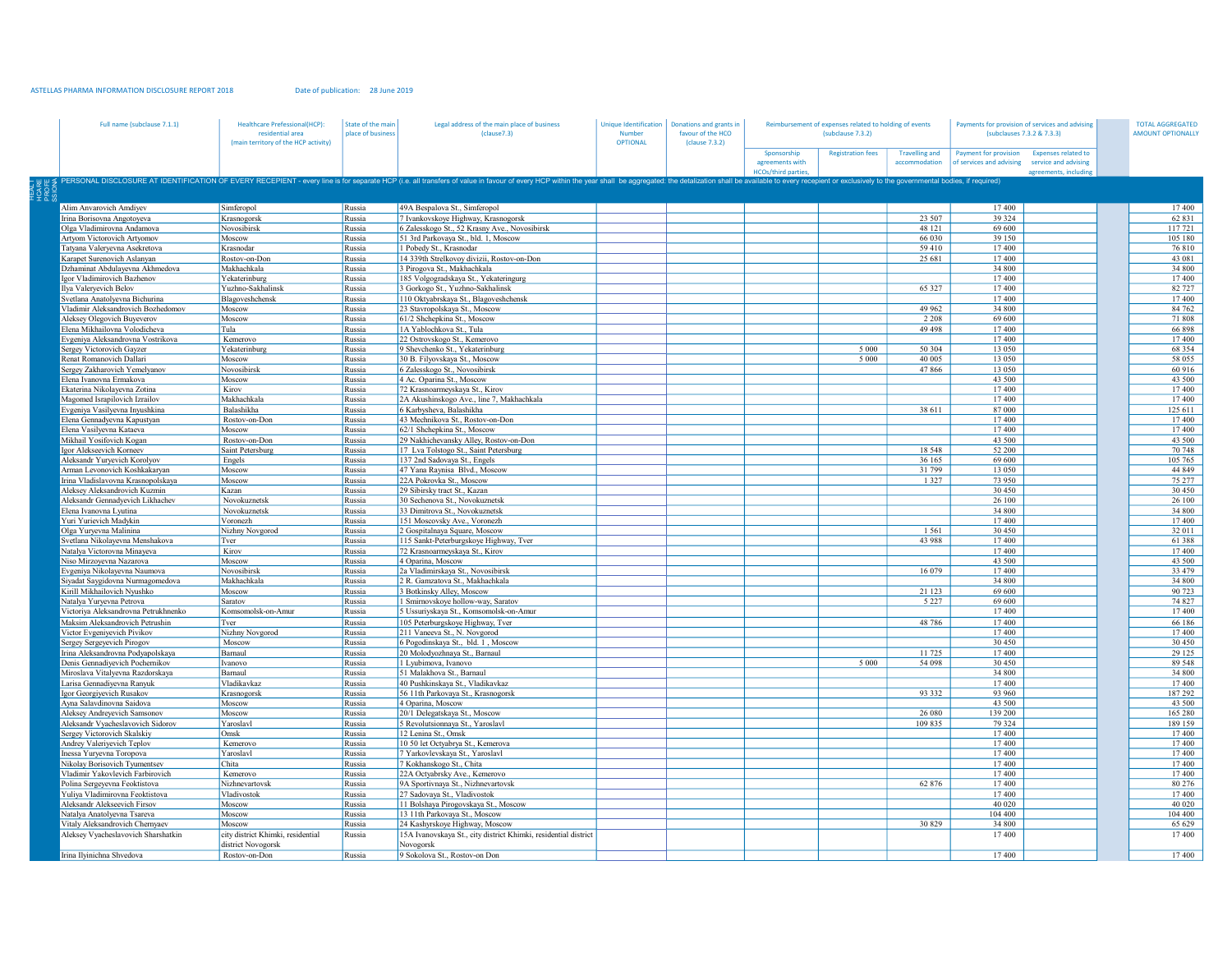## ASTELLAS PHARMA INFORMATION DISCLOSURE REPORT 2018 Date of publication: 28 June 2019

| Full name (subclause 7.1.1)                                       | <b>Healthcare Prefessional(HCP):</b><br>residential area<br>(main territory of the HCP activity) | State of the main<br>place of business | Legal address of the main place of business<br>(clause7.3)                                                                                                                                                                     | Unique Identification<br>Number<br><b>OPTIONAL</b> | Donations and grants in<br>favour of the HCO<br>(clause 7.3.2) | Reimbursement of expenses related to holding of events<br>(subclause 7.3.2) |                          |                                        | Payments for provision of services and advising<br>(subclauses 7.3.2 & 7.3.3)                                                 |  | <b>TOTAL AGGREGATED</b><br><b>AMOUNT OPTIONALLY</b> |  |
|-------------------------------------------------------------------|--------------------------------------------------------------------------------------------------|----------------------------------------|--------------------------------------------------------------------------------------------------------------------------------------------------------------------------------------------------------------------------------|----------------------------------------------------|----------------------------------------------------------------|-----------------------------------------------------------------------------|--------------------------|----------------------------------------|-------------------------------------------------------------------------------------------------------------------------------|--|-----------------------------------------------------|--|
|                                                                   |                                                                                                  |                                        |                                                                                                                                                                                                                                |                                                    |                                                                | Sponsorship<br>agreements with<br><b>HCOs/third parties</b>                 | <b>Registration fees</b> | <b>Travelling and</b><br>accommodation | Payment for provision<br><b>Expenses related to</b><br>of services and advising service and advising<br>agreements, including |  |                                                     |  |
|                                                                   |                                                                                                  |                                        | PERSONAL DISCLOSURE AT IDENTIFICATION OF EVERY RECEPIENT - every line is for separate HCP (i.e. all transfers of value in favour of every HCP within the year shall be aggregated: the detalization shall be available to ever |                                                    |                                                                |                                                                             |                          |                                        |                                                                                                                               |  |                                                     |  |
| Alim Anvarovich Amdiyev                                           | Simferopol                                                                                       | Russia                                 | 49A Bespalova St., Simferopol                                                                                                                                                                                                  |                                                    |                                                                |                                                                             |                          |                                        | 17 400                                                                                                                        |  | 17400                                               |  |
| frina Borisovna Angotoyeva                                        | Krasnogorsk                                                                                      | Russia                                 | 7 Ivankovskoye Highway, Krasnogorsk                                                                                                                                                                                            |                                                    |                                                                |                                                                             |                          | 23 507                                 | 39 324                                                                                                                        |  | 62 831                                              |  |
| Olga Vladimirovna Andamova                                        | Novosibirsk                                                                                      | Russia                                 | 6 Zalesskogo St., 52 Krasny Ave., Novosibirsk                                                                                                                                                                                  |                                                    |                                                                |                                                                             |                          | 48 121                                 | 69 600                                                                                                                        |  | 117721                                              |  |
| Artyom Victorovich Artyomov                                       | Moscow                                                                                           | Russia                                 | 51 3rd Parkovaya St., bld. 1, Moscow                                                                                                                                                                                           |                                                    |                                                                |                                                                             |                          | 66 030                                 | 39 150                                                                                                                        |  | 105 180                                             |  |
| Fatyana Valeryevna Asekretova<br>Carapet Surenovich Aslanyan      | Krasnodar<br>Rostov-on-Don                                                                       | Russia<br>Russia                       | 1 Pobedy St., Krasnodar<br>14 339th Strelkovoy divizii, Rostov-on-Don                                                                                                                                                          |                                                    |                                                                |                                                                             |                          | 59410<br>25 681                        | 17400<br>17400                                                                                                                |  | 76810<br>43 081                                     |  |
| Ozhaminat Abdulayevna Akhmedova                                   | Makhachkala                                                                                      | Russia                                 | 3 Pirogova St., Makhachkala                                                                                                                                                                                                    |                                                    |                                                                |                                                                             |                          |                                        | 34 800                                                                                                                        |  | 34 800                                              |  |
| gor Vladimirovich Bazhenov                                        | Yekaterinburg                                                                                    | Russia                                 | 185 Volgogradskaya St., Yekateringurg                                                                                                                                                                                          |                                                    |                                                                |                                                                             |                          |                                        | 17 400                                                                                                                        |  | 17400                                               |  |
| lva Valervevich Belov                                             | Yuzhno-Sakhalinsk                                                                                | Russia                                 | 3 Gorkogo St., Yuzhno-Sakhalinsk                                                                                                                                                                                               |                                                    |                                                                |                                                                             |                          | 65 327                                 | 17 400                                                                                                                        |  | 82 727                                              |  |
| Svetlana Anatolvevna Bichurina                                    | Blagoveshchensk                                                                                  | Russia                                 | 110 Oktyabrskaya St., Blagoveshchensk                                                                                                                                                                                          |                                                    |                                                                |                                                                             |                          |                                        | 17400                                                                                                                         |  | 17400                                               |  |
| Vladimir Aleksandrovich Bozhedomov                                | Moscow                                                                                           | Russia                                 | 23 Stavropolskaya St., Moscow                                                                                                                                                                                                  |                                                    |                                                                |                                                                             |                          | 49 962                                 | 34 800                                                                                                                        |  | 84 762                                              |  |
| Aleksey Olegovich Buyeverov                                       | Moscow                                                                                           | Russia                                 | 61/2 Shchepkina St., Moscow                                                                                                                                                                                                    |                                                    |                                                                |                                                                             |                          | 2 2 0 8                                | 69.600                                                                                                                        |  | 71808                                               |  |
| Elena Mikhailovna Volodicheva                                     | Tula                                                                                             | Russia                                 | 1A Yablochkova St., Tula                                                                                                                                                                                                       |                                                    |                                                                |                                                                             |                          | 49 49 8                                | 17 400                                                                                                                        |  | 66898                                               |  |
| Evgeniya Aleksandrovna Vostrikova                                 | Kemerovo                                                                                         | Russia                                 | 22 Ostrovskogo St., Kemerovo                                                                                                                                                                                                   |                                                    |                                                                |                                                                             |                          |                                        | 17 400                                                                                                                        |  | 17400                                               |  |
| Sergey Victorovich Gayzer                                         | Yekaterinburg                                                                                    | Russia                                 | 9 Shevchenko St., Yekaterinburg                                                                                                                                                                                                |                                                    |                                                                |                                                                             | 5 0 0 0                  | 50 30 4                                | 13 050                                                                                                                        |  | 68 3 5 4                                            |  |
| Renat Romanovich Dallari                                          | Moscow                                                                                           | Russia                                 | 30 B. Filyovskaya St., Moscow                                                                                                                                                                                                  |                                                    |                                                                |                                                                             | 5 0 0 0                  | 40 005<br>47866                        | 13 050<br>13 050                                                                                                              |  | 58 055                                              |  |
| Sergey Zakharovich Yemelyanov<br>Elena Ivanovna Ermakova          | Novosibirsk<br>Moscow                                                                            | Russia<br>Russia                       | 6 Zalesskogo St., Novosibirsk<br>4 Ac. Oparina St., Moscow                                                                                                                                                                     |                                                    |                                                                |                                                                             |                          |                                        | 43 500                                                                                                                        |  | 60 916<br>43 500                                    |  |
| Ekaterina Nikolayevna Zotina                                      | Kirov                                                                                            | Russia                                 | 72 Krasnoarmeyskaya St., Kirov                                                                                                                                                                                                 |                                                    |                                                                |                                                                             |                          |                                        | 17 400                                                                                                                        |  | 17400                                               |  |
| Magomed Israpilovich Izrailov                                     | Makhachkala                                                                                      | Russia                                 | 2A Akushinskogo Ave., line 7, Makhachkala                                                                                                                                                                                      |                                                    |                                                                |                                                                             |                          |                                        | 17 400                                                                                                                        |  | 17400                                               |  |
| Evgeniya Vasilyevna Inyushkina                                    | Balashikha                                                                                       | Russia                                 | 6 Karbysheva, Balashikha                                                                                                                                                                                                       |                                                    |                                                                |                                                                             |                          | 38 611                                 | 87 000                                                                                                                        |  | 125 611                                             |  |
| Elena Gennadyevna Kapustyan                                       | Rostov-on-Don                                                                                    | Russia                                 | 43 Mechnikova St., Rostov-on-Don                                                                                                                                                                                               |                                                    |                                                                |                                                                             |                          |                                        | 17400                                                                                                                         |  | 17400                                               |  |
| Elena Vasilyevna Kataeva                                          | Moscow                                                                                           | Russia                                 | 62/1 Shchepkina St., Moscow                                                                                                                                                                                                    |                                                    |                                                                |                                                                             |                          |                                        | 17400                                                                                                                         |  | 17400                                               |  |
| Mikhail Yosifovich Kogan                                          | Rostov-on-Don                                                                                    | Russia                                 | 29 Nakhichevansky Alley, Rostov-on-Don                                                                                                                                                                                         |                                                    |                                                                |                                                                             |                          |                                        | 43 500                                                                                                                        |  | 43 500                                              |  |
| gor Alekseevich Korneev                                           | Saint Petersburg                                                                                 | Russia                                 | 17 Lva Tolstogo St., Saint Petersburg                                                                                                                                                                                          |                                                    |                                                                |                                                                             |                          | 18 5 48                                | 52 200                                                                                                                        |  | 70 748                                              |  |
| Aleksandr Yuryevich Korolyov                                      | Engels                                                                                           | Russia                                 | 137 2nd Sadovaya St., Engels                                                                                                                                                                                                   |                                                    |                                                                |                                                                             |                          | 36 165                                 | 69 600                                                                                                                        |  | 105 765                                             |  |
| Arman Levonovich Koshkakaryan                                     | Moscow                                                                                           | Russia                                 | 47 Yana Ravnisa Blvd., Moscow                                                                                                                                                                                                  |                                                    |                                                                |                                                                             |                          | 31799                                  | 13 050                                                                                                                        |  | 44 849                                              |  |
| rina Vladislavovna Krasnopolskaya                                 | Moscow                                                                                           | Russia                                 | 22A Pokrovka St., Moscow                                                                                                                                                                                                       |                                                    |                                                                |                                                                             |                          | 1327                                   | 73 950<br>30 450                                                                                                              |  | 75 277<br>30 450                                    |  |
| Aleksey Aleksandrovich Kuzmin<br>Aleksandr Gennadyevich Likhachev | Kazan                                                                                            | Russia                                 | 29 Sibirsky tract St., Kazan<br>30 Sechenova St., Novokuznetsk                                                                                                                                                                 |                                                    |                                                                |                                                                             |                          |                                        |                                                                                                                               |  | 26 100                                              |  |
| Elena Ivanovna Lyutina                                            | Novokuznetsk<br>Novokuznetsk                                                                     | Russia<br>Russia                       | 33 Dimitrova St., Novokuznetsk                                                                                                                                                                                                 |                                                    |                                                                |                                                                             |                          |                                        | 26 100<br>34 800                                                                                                              |  | 34 800                                              |  |
| Yuri Yurievich Madykin                                            | Voronezh                                                                                         | Russia                                 | 151 Moscovsky Ave., Voronezh                                                                                                                                                                                                   |                                                    |                                                                |                                                                             |                          |                                        | 17400                                                                                                                         |  | 17400                                               |  |
| Olga Yuryevna Malinina                                            | Nizhny Novgorod                                                                                  | Russia                                 | 2 Gospitalnaya Square, Moscow                                                                                                                                                                                                  |                                                    |                                                                |                                                                             |                          | 1561                                   | 30 450                                                                                                                        |  | 32 011                                              |  |
| vetlana Nikolayevna Menshakova                                    | Tver                                                                                             | Russia                                 | 115 Sankt-Peterburgskoye Highway, Tver                                                                                                                                                                                         |                                                    |                                                                |                                                                             |                          | 43 988                                 | 17400                                                                                                                         |  | 61388                                               |  |
| Vatalya Victorovna Minayeva                                       | Kirov                                                                                            | Russia                                 | 72 Krasnoarmeyskaya St., Kirov                                                                                                                                                                                                 |                                                    |                                                                |                                                                             |                          |                                        | 17 400                                                                                                                        |  | 17400                                               |  |
| Viso Mirzoyevna Nazarova                                          | Moscow                                                                                           | Russia                                 | 4 Oparina, Moscow                                                                                                                                                                                                              |                                                    |                                                                |                                                                             |                          |                                        | 43 500                                                                                                                        |  | 43 500                                              |  |
| Evgeniya Nikolayevna Naumova                                      | Novosibirsk                                                                                      | Russia                                 | 2a Vladimirskaya St., Novosibirsk                                                                                                                                                                                              |                                                    |                                                                |                                                                             |                          | 16079                                  | 17400                                                                                                                         |  | 33 4 79                                             |  |
| iyadat Saygidovna Nurmagomedova                                   | Makhachkala                                                                                      | Russia                                 | 2 R. Gamzatova St., Makhachkala                                                                                                                                                                                                |                                                    |                                                                |                                                                             |                          |                                        | 34 800                                                                                                                        |  | 34 800                                              |  |
| Cirill Mikhailovich Nyushko                                       | Moscow                                                                                           | Russia                                 | 3 Botkinsky Alley, Moscow                                                                                                                                                                                                      |                                                    |                                                                |                                                                             |                          | 21 123                                 | 69 600                                                                                                                        |  | 90723                                               |  |
| Vatalya Yuryevna Petrova                                          | Saratov                                                                                          | Russia                                 | Smirnovskoye hollow-way, Saratov                                                                                                                                                                                               |                                                    |                                                                |                                                                             |                          | 5 2 2 7                                | 69 600                                                                                                                        |  | 74 827                                              |  |
| Victoriya Aleksandrovna Petrukhnenko                              | Komsomolsk-on-Amur                                                                               | Russia                                 | 5 Ussuriyskaya St., Komsomolsk-on-Amur                                                                                                                                                                                         |                                                    |                                                                |                                                                             |                          |                                        | 17400<br>17400                                                                                                                |  | 17400                                               |  |
| Maksim Aleksandrovich Petrushin                                   | Tver                                                                                             | Russia                                 | 105 Peterburgskoye Highway, Tver                                                                                                                                                                                               |                                                    |                                                                |                                                                             |                          | 48786                                  | 17400                                                                                                                         |  | 66 186<br>17400                                     |  |
| Victor Evgeniyevich Pivikov<br>Sergey Sergeyevich Pirogov         | Nizhny Novgorod<br>Moscow                                                                        | Russia<br>Russia                       | 211 Vaneeva St., N. Novgorod<br>6 Pogodinskaya St., bld. 1, Moscow                                                                                                                                                             |                                                    |                                                                |                                                                             |                          |                                        | 30 450                                                                                                                        |  | 30 450                                              |  |
| frina Aleksandrovna Podyapolskaya                                 | Barnaul                                                                                          | Russia                                 | 20 Molodyozhnaya St., Barnaul                                                                                                                                                                                                  |                                                    |                                                                |                                                                             |                          | 11725                                  | 17400                                                                                                                         |  | 29 1 25                                             |  |
| Denis Gennadiyevich Pochernikov                                   | Ivanovo                                                                                          | Russia                                 | 1 Lyubimova, Ivanovo                                                                                                                                                                                                           |                                                    |                                                                |                                                                             | 5 0 0 0                  | 54 098                                 | 30 450                                                                                                                        |  | 89 548                                              |  |
| Miroslava Vitalyevna Razdorskaya                                  | Barnaul                                                                                          | Russia                                 | 51 Malakhova St., Barnaul                                                                                                                                                                                                      |                                                    |                                                                |                                                                             |                          |                                        | 34 800                                                                                                                        |  | 34 800                                              |  |
| Larisa Gennadiyevna Ranyuk                                        | Vladikavkaz                                                                                      | Russia                                 | 40 Pushkinskaya St., Vladikavkaz                                                                                                                                                                                               |                                                    |                                                                |                                                                             |                          |                                        | 17400                                                                                                                         |  | 17400                                               |  |
| gor Georgiyevich Rusakov                                          | Krasnogorsk                                                                                      | Russia                                 | 56 11th Parkovaya St., Krasnogorsk                                                                                                                                                                                             |                                                    |                                                                |                                                                             |                          | 93 3 3 2                               | 93 960                                                                                                                        |  | 187292                                              |  |
| Ayna Salavdinovna Saidova                                         | Moscow                                                                                           | Russia                                 | 4 Oparina, Moscow                                                                                                                                                                                                              |                                                    |                                                                |                                                                             |                          |                                        | 43 500                                                                                                                        |  | 43 500                                              |  |
| Aleksey Andreyevich Samsonov                                      | Moscow                                                                                           | Russia                                 | 20/1 Delegatskaya St., Moscow                                                                                                                                                                                                  |                                                    |                                                                |                                                                             |                          | 26 080                                 | 139 200                                                                                                                       |  | 165 280                                             |  |
| Aleksandr Vyacheslavovich Sidorov                                 | Yaroslavl                                                                                        | Russia                                 | 5 Revolutsionnaya St., Yaroslavl                                                                                                                                                                                               |                                                    |                                                                |                                                                             |                          | 109 835                                | 79 324                                                                                                                        |  | 189 159                                             |  |
| Sergey Victorovich Skalskiy                                       | Omsk                                                                                             | Russia                                 | 12 Lenina St., Omsk                                                                                                                                                                                                            |                                                    |                                                                |                                                                             |                          |                                        | 17400                                                                                                                         |  | 17400                                               |  |
| Andrey Valeriyevich Teplov                                        | Kemerovo<br>Yaroslavl                                                                            | Russia<br>Russia                       | 10 50 let Octyabrya St., Kemerova<br>7 Yarkovlevskaya St., Yaroslavl                                                                                                                                                           |                                                    |                                                                |                                                                             |                          |                                        | 17400<br>17400                                                                                                                |  | 17400<br>17400                                      |  |
| nessa Yuryevna Toropova<br>Vikolay Borisovich Tyumentsev          | Chita                                                                                            | Russia                                 | 7 Kokhanskogo St., Chita                                                                                                                                                                                                       |                                                    |                                                                |                                                                             |                          |                                        | 17400                                                                                                                         |  | 17400                                               |  |
| Vladimir Yakovlevich Farbirovich                                  | Kemerovo                                                                                         | Russia                                 | 22A Octyabrsky Ave., Kemerovo                                                                                                                                                                                                  |                                                    |                                                                |                                                                             |                          |                                        | 17400                                                                                                                         |  | 17400                                               |  |
| Polina Sergeyevna Feoktistova                                     | Nizhnevartovsk                                                                                   | Russia                                 | 9A Sportivnaya St., Nizhnevartovsk                                                                                                                                                                                             |                                                    |                                                                |                                                                             |                          | 62 876                                 | 17400                                                                                                                         |  | 80 276                                              |  |
| Yuliya Vladimirovna Feoktistova                                   | Vladivostok                                                                                      | Russia                                 | 27 Sadovaya St., Vladivostok                                                                                                                                                                                                   |                                                    |                                                                |                                                                             |                          |                                        | 17 400                                                                                                                        |  | 17400                                               |  |
| Aleksandr Alekseevich Firsov                                      | Moscow                                                                                           | Russia                                 | 11 Bolshaya Pirogovskaya St., Moscow                                                                                                                                                                                           |                                                    |                                                                |                                                                             |                          |                                        | 40 020                                                                                                                        |  | 40 0 20                                             |  |
| Vatalya Anatolyevna Tsareva                                       | Moscow                                                                                           | Russia                                 | 13 11th Parkovaya St., Moscow                                                                                                                                                                                                  |                                                    |                                                                |                                                                             |                          |                                        | 104 400                                                                                                                       |  | 104 400                                             |  |
| Vitaly Aleksandrovich Chernyaev                                   | Moscow                                                                                           | Russia                                 | 24 Kashyrskoye Highway, Moscow                                                                                                                                                                                                 |                                                    |                                                                |                                                                             |                          | 30829                                  | 34 800                                                                                                                        |  | 65 629                                              |  |
| Aleksey Vyacheslavovich Sharshatkin                               | city district Khimki, residential<br>district Novogorsk                                          | Russia                                 | 15A Ivanovskaya St., city district Khimki, residential district<br>Novogorsk                                                                                                                                                   |                                                    |                                                                |                                                                             |                          |                                        | 17 400                                                                                                                        |  | 17 400                                              |  |
| Irina Ilyinichna Shvedova                                         | Rostov-on-Don                                                                                    | Russia                                 | 9 Sokolova St., Rostov-on Don                                                                                                                                                                                                  |                                                    |                                                                |                                                                             |                          |                                        | 17400                                                                                                                         |  | 17400                                               |  |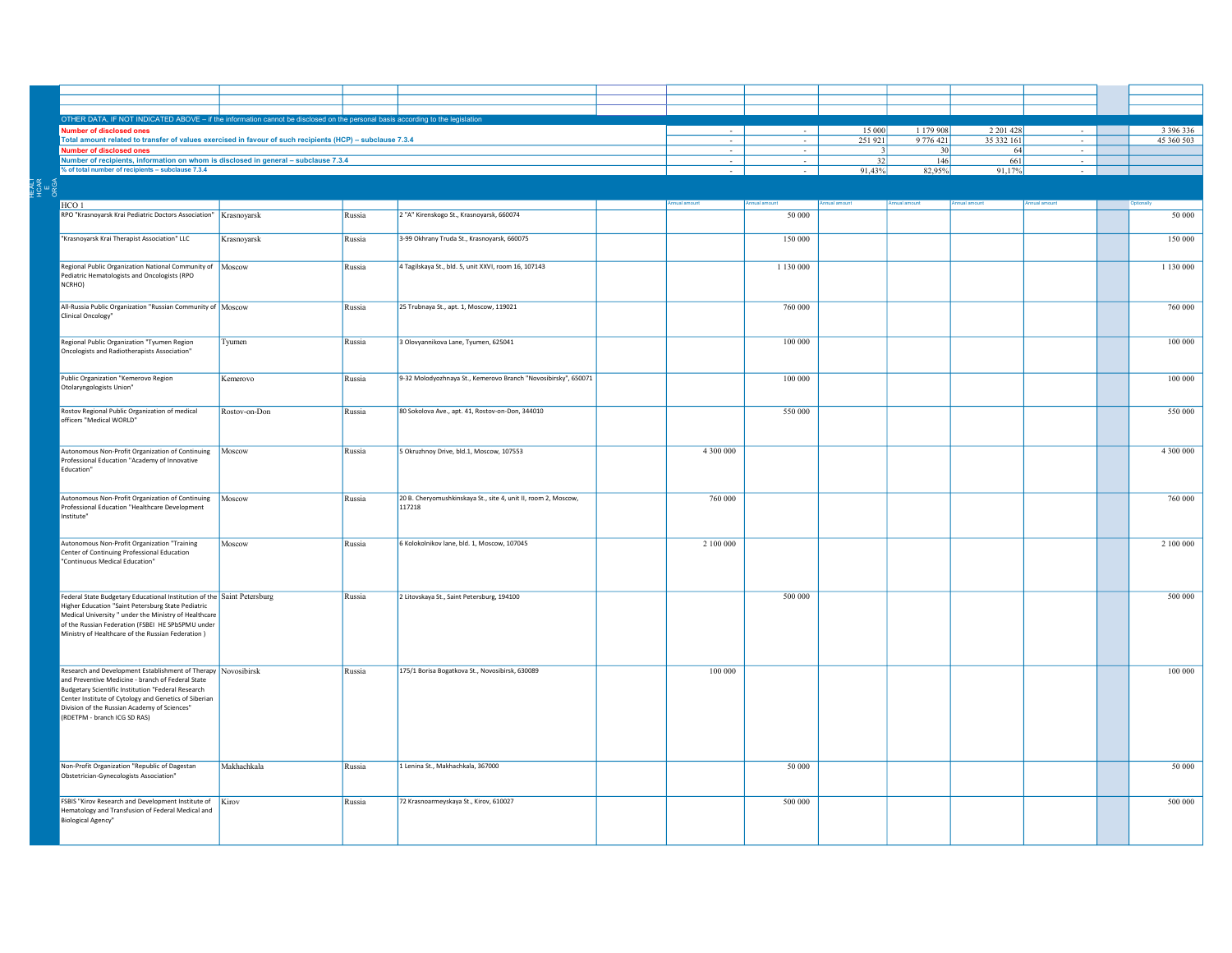| OTHER DATA, IF NOT INDICATED ABOVE - if the information cannot be disclosed on the personal basis according to the legislatio            |               |        |                                                                |  |               |               |            |                 |               |               |               |
|------------------------------------------------------------------------------------------------------------------------------------------|---------------|--------|----------------------------------------------------------------|--|---------------|---------------|------------|-----------------|---------------|---------------|---------------|
| ther of disclosed ones                                                                                                                   |               |        |                                                                |  |               |               | 15 000     | 1 179 908       | 2 2 0 1 4 2 8 |               | 3 3 9 6 3 3 6 |
| Total amount related to transfer of values exercised in favour of such recipients (HCP) - subclause 7.3.4                                |               |        |                                                                |  | $\sim$        |               | 251921     | 9 776 421       | 35 332 161    | $\sim$        | 45 360 503    |
| <b>Number of disclosed ones</b>                                                                                                          |               |        |                                                                |  |               |               |            | 30 <sup>1</sup> | 64            | $\sim$        |               |
| Number of recipients, information on whom is disclosed in general - subclause 7.3.4<br>% of total number of recipients - subclause 7.3.4 |               |        |                                                                |  | $\sim$        | $\sim$        | 32         | 146             | 661           | $\sim$        |               |
|                                                                                                                                          |               |        |                                                                |  |               |               | 91,43%     | 82,95%          | 91,17%        |               |               |
|                                                                                                                                          |               |        |                                                                |  |               |               |            |                 |               |               |               |
|                                                                                                                                          |               |        |                                                                |  |               |               |            |                 |               |               |               |
| HCO <sub>1</sub>                                                                                                                         |               |        |                                                                |  | Annual amount | Annual amount | huoms laun | Annual amount   | Annual amount | Annual amount | Optionally    |
| RPO "Krasnoyarsk Krai Pediatric Doctors Association"   Krasnoyarsk                                                                       |               | Russia | 2 "A" Kirenskogo St., Krasnoyarsk, 660074                      |  |               | 50 000        |            |                 |               |               | 50 000        |
|                                                                                                                                          |               |        |                                                                |  |               |               |            |                 |               |               |               |
| "Krasnoyarsk Krai Therapist Association" LLC                                                                                             | Krasnoyarsk   | Russia | 3-99 Okhrany Truda St., Krasnoyarsk, 660075                    |  |               | 150 000       |            |                 |               |               | 150 000       |
|                                                                                                                                          |               |        |                                                                |  |               |               |            |                 |               |               |               |
| Regional Public Organization National Community of Moscow                                                                                |               | Russia | 4 Tagilskaya St., bld. 5, unit XXVI, room 16, 107143           |  |               | 1 130 000     |            |                 |               |               | 1 130 000     |
| Pediatric Hematologists and Oncologists (RPO                                                                                             |               |        |                                                                |  |               |               |            |                 |               |               |               |
| NCRHO)                                                                                                                                   |               |        |                                                                |  |               |               |            |                 |               |               |               |
|                                                                                                                                          |               |        |                                                                |  |               |               |            |                 |               |               |               |
| All-Russia Public Organization "Russian Community of Moscow                                                                              |               | Russia | 25 Trubnaya St., apt. 1, Moscow, 119021                        |  |               | 760 000       |            |                 |               |               | 760 000       |
| Clinical Oncology"                                                                                                                       |               |        |                                                                |  |               |               |            |                 |               |               |               |
|                                                                                                                                          |               |        |                                                                |  |               |               |            |                 |               |               |               |
| Regional Public Organization "Tyumen Region                                                                                              | Tyumen        | Russia | 3 Olovyannikova Lane, Tyumen, 625041                           |  |               | 100 000       |            |                 |               |               | 100 000       |
| Oncologists and Radiotherapists Association"                                                                                             |               |        |                                                                |  |               |               |            |                 |               |               |               |
|                                                                                                                                          |               |        |                                                                |  |               |               |            |                 |               |               |               |
| Public Organization "Kemerovo Region                                                                                                     | Kemerovo      | Russia | 9-32 Molodyozhnaya St., Kemerovo Branch "Novosibirsky", 650071 |  |               | 100 000       |            |                 |               |               | 100 000       |
| Otolaryngologists Union"                                                                                                                 |               |        |                                                                |  |               |               |            |                 |               |               |               |
|                                                                                                                                          |               |        |                                                                |  |               |               |            |                 |               |               |               |
| Rostov Regional Public Organization of medical                                                                                           | Rostov-on-Don | Russia | 80 Sokolova Ave., apt. 41, Rostov-on-Don, 344010               |  |               | 550 000       |            |                 |               |               | 550 000       |
| officers "Medical WORLD"                                                                                                                 |               |        |                                                                |  |               |               |            |                 |               |               |               |
|                                                                                                                                          |               |        |                                                                |  |               |               |            |                 |               |               |               |
|                                                                                                                                          |               |        |                                                                |  |               |               |            |                 |               |               |               |
| Autonomous Non-Profit Organization of Continuing Moscow<br>Professional Education "Academy of Innovative                                 |               | Russia | 5 Okruzhnoy Drive, bld.1, Moscow, 107553                       |  | 4 300 000     |               |            |                 |               |               | 4 300 000     |
| Education"                                                                                                                               |               |        |                                                                |  |               |               |            |                 |               |               |               |
|                                                                                                                                          |               |        |                                                                |  |               |               |            |                 |               |               |               |
|                                                                                                                                          |               |        |                                                                |  |               |               |            |                 |               |               |               |
| Autonomous Non-Profit Organization of Continuing   Moscow                                                                                |               | Russia | 20 B. Cheryomushkinskaya St., site 4, unit II, room 2, Moscow, |  | 760 000       |               |            |                 |               |               | 760 000       |
| rofessional Education "Healthcare Development<br>nstitute"                                                                               |               |        | 117218                                                         |  |               |               |            |                 |               |               |               |
|                                                                                                                                          |               |        |                                                                |  |               |               |            |                 |               |               |               |
|                                                                                                                                          |               |        |                                                                |  |               |               |            |                 |               |               |               |
| Autonomous Non-Profit Organization "Training<br>Center of Continuing Professional Education                                              | Moscow        | Russia | 6 Kolokolnikov lane, bld. 1, Moscow, 107045                    |  | 2 100 000     |               |            |                 |               |               | 2 100 000     |
| "Continuous Medical Education"                                                                                                           |               |        |                                                                |  |               |               |            |                 |               |               |               |
|                                                                                                                                          |               |        |                                                                |  |               |               |            |                 |               |               |               |
|                                                                                                                                          |               |        |                                                                |  |               |               |            |                 |               |               |               |
| Federal State Budgetary Educational Institution of the Saint Petersburg                                                                  |               | Russia | 2 Litovskaya St., Saint Petersburg, 194100                     |  |               | 500 000       |            |                 |               |               | 500 000       |
| Higher Education "Saint Petersburg State Pediatric                                                                                       |               |        |                                                                |  |               |               |            |                 |               |               |               |
| Medical University " under the Ministry of Healthcare                                                                                    |               |        |                                                                |  |               |               |            |                 |               |               |               |
| of the Russian Federation (FSBEI HE SPbSPMU under                                                                                        |               |        |                                                                |  |               |               |            |                 |               |               |               |
| Ministry of Healthcare of the Russian Federation)                                                                                        |               |        |                                                                |  |               |               |            |                 |               |               |               |
|                                                                                                                                          |               |        |                                                                |  |               |               |            |                 |               |               |               |
|                                                                                                                                          |               |        |                                                                |  |               |               |            |                 |               |               |               |
| Research and Development Establishment of Therapy Novosibirsk                                                                            |               | Russia | 175/1 Borisa Bogatkova St., Novosibirsk, 630089                |  | 100 000       |               |            |                 |               |               | 100 000       |
| and Preventive Medicine - branch of Federal State                                                                                        |               |        |                                                                |  |               |               |            |                 |               |               |               |
| <b>Budgetary Scientific Institution "Federal Research</b><br>Center Institute of Cytology and Genetics of Siberian                       |               |        |                                                                |  |               |               |            |                 |               |               |               |
| Division of the Russian Academy of Sciences"                                                                                             |               |        |                                                                |  |               |               |            |                 |               |               |               |
| (RDETPM - branch ICG SD RAS)                                                                                                             |               |        |                                                                |  |               |               |            |                 |               |               |               |
|                                                                                                                                          |               |        |                                                                |  |               |               |            |                 |               |               |               |
|                                                                                                                                          |               |        |                                                                |  |               |               |            |                 |               |               |               |
|                                                                                                                                          |               |        |                                                                |  |               |               |            |                 |               |               |               |
| Non-Profit Organization "Republic of Dagestan                                                                                            | Makhachkala   | Russia | 1 Lenina St., Makhachkala, 367000                              |  |               | 50 000        |            |                 |               |               | 50 000        |
| Obstetrician-Gynecologists Association"                                                                                                  |               |        |                                                                |  |               |               |            |                 |               |               |               |
|                                                                                                                                          |               |        |                                                                |  |               |               |            |                 |               |               |               |
| FSBIS "Kirov Research and Development Institute of Kirov                                                                                 |               | Russia | 72 Krasnoarmeyskaya St., Kirov, 610027                         |  |               | 500 000       |            |                 |               |               | 500 000       |
| Hematology and Transfusion of Federal Medical and                                                                                        |               |        |                                                                |  |               |               |            |                 |               |               |               |
| <b>Biological Agency"</b>                                                                                                                |               |        |                                                                |  |               |               |            |                 |               |               |               |
|                                                                                                                                          |               |        |                                                                |  |               |               |            |                 |               |               |               |
|                                                                                                                                          |               |        |                                                                |  |               |               |            |                 |               |               |               |